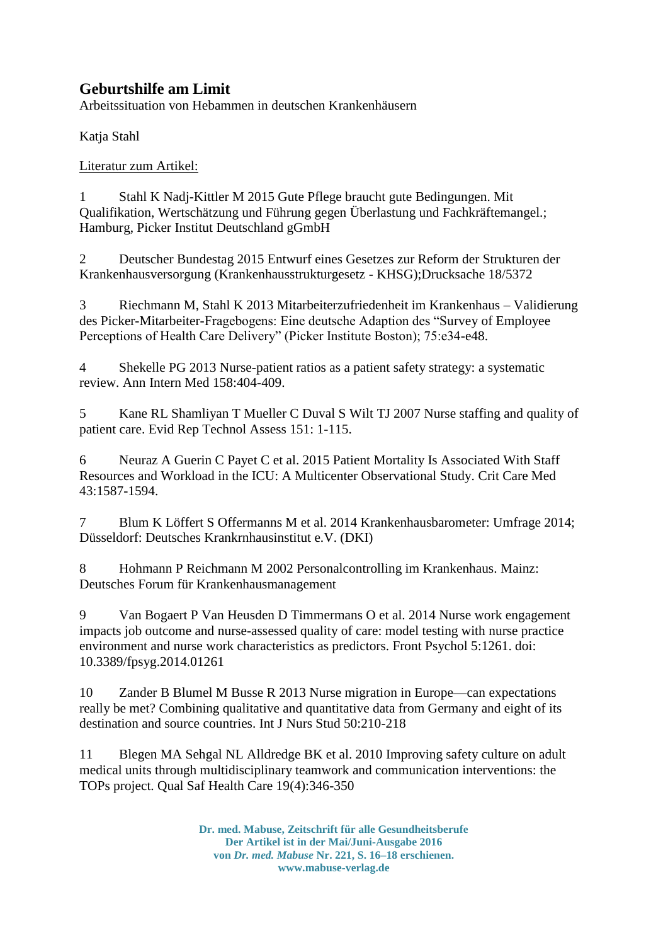## **Geburtshilfe am Limit**

Arbeitssituation von Hebammen in deutschen Krankenhäusern

Katja Stahl

Literatur zum Artikel:

1 Stahl K Nadj-Kittler M 2015 Gute Pflege braucht gute Bedingungen. Mit Qualifikation, Wertschätzung und Führung gegen Überlastung und Fachkräftemangel.; Hamburg, Picker Institut Deutschland gGmbH

2 Deutscher Bundestag 2015 Entwurf eines Gesetzes zur Reform der Strukturen der Krankenhausversorgung (Krankenhausstrukturgesetz - KHSG);Drucksache 18/5372

3 Riechmann M, Stahl K 2013 Mitarbeiterzufriedenheit im Krankenhaus – Validierung des Picker-Mitarbeiter-Fragebogens: Eine deutsche Adaption des "Survey of Employee Perceptions of Health Care Delivery" (Picker Institute Boston); 75:e34-e48.

4 Shekelle PG 2013 Nurse-patient ratios as a patient safety strategy: a systematic review. Ann Intern Med 158:404-409.

5 Kane RL Shamliyan T Mueller C Duval S Wilt TJ 2007 Nurse staffing and quality of patient care. Evid Rep Technol Assess 151: 1-115.

6 Neuraz A Guerin C Payet C et al. 2015 Patient Mortality Is Associated With Staff Resources and Workload in the ICU: A Multicenter Observational Study. Crit Care Med 43:1587-1594.

7 Blum K Löffert S Offermanns M et al. 2014 Krankenhausbarometer: Umfrage 2014; Düsseldorf: Deutsches Krankrnhausinstitut e.V. (DKI)

8 Hohmann P Reichmann M 2002 Personalcontrolling im Krankenhaus. Mainz: Deutsches Forum für Krankenhausmanagement

9 Van Bogaert P Van Heusden D Timmermans O et al. 2014 Nurse work engagement impacts job outcome and nurse-assessed quality of care: model testing with nurse practice environment and nurse work characteristics as predictors. Front Psychol 5:1261. doi: 10.3389/fpsyg.2014.01261

10 Zander B Blumel M Busse R 2013 Nurse migration in Europe—can expectations really be met? Combining qualitative and quantitative data from Germany and eight of its destination and source countries. Int J Nurs Stud 50:210-218

11 Blegen MA Sehgal NL Alldredge BK et al. 2010 Improving safety culture on adult medical units through multidisciplinary teamwork and communication interventions: the TOPs project. Qual Saf Health Care 19(4):346-350

> **Dr. med. Mabuse, Zeitschrift für alle Gesundheitsberufe Der Artikel ist in der Mai/Juni-Ausgabe 2016 von** *Dr. med. Mabuse* **Nr. 221, S. 16–18 erschienen. www.mabuse-verlag.de**